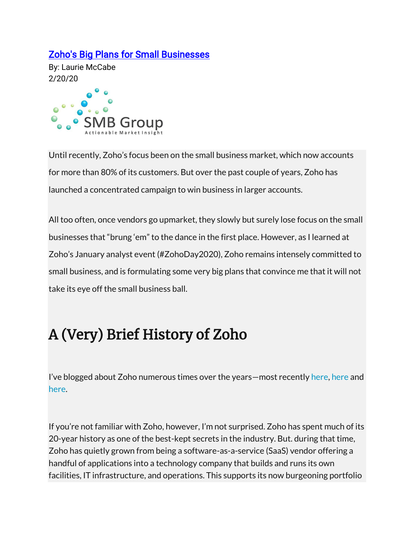#### [Zoho's Big Plans for Small Businesses](https://lauriemccabe.com/2020/02/20/zohos-big-plans-for-small-businesses/)

By: Laurie McCabe 2/20/20



Until recently, Zoho's focus been on the small business market, which now accounts for more than 80% of its customers. But over the past couple of years, Zoho has launched a concentrated campaign to win business in larger accounts.

All too often, once vendors go upmarket, they slowly but surely lose focus on the small businesses that "brung 'em" to the dance in the first place. However, as I learned at Zoho's January analyst event (#ZohoDay2020), Zoho remains intensely committed to small business, and is formulating some very big plans that convince me that it will not take its eye off the small business ball.

# A (Very) Brief History of Zoho

I've blogged about Zoho numerous times over the years—most recently [here,](https://lauriemccabe.com/2020/02/10/zoho-ups-the-ante-on-data-privacy/) here and [here.](https://lauriemccabe.com/2019/01/30/heading-towards-a-shake-up-the-cloud-business-apps-market-according-to-zoho/)

If you're not familiar with Zoho, however, I'm not surprised. Zoho has spent much of its 20-year history as one of the best-kept secrets in the industry. But. during that time, Zoho has quietly grown from being a software-as-a-service (SaaS) vendor offering a handful of applications into a technology company that builds and runs its own facilities, IT infrastructure, and operations. This supports its now burgeoning portfolio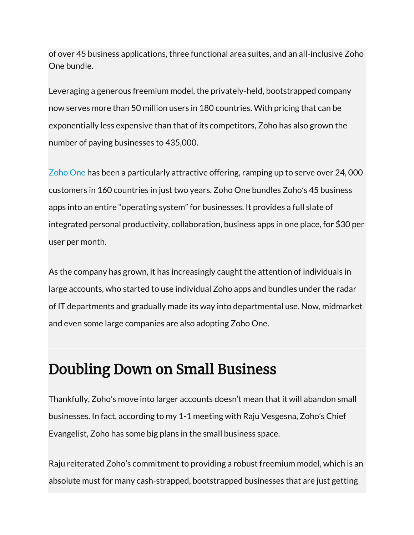of over 45 business applications, three functional area suites, and an all-inclusive Zoho One bundle.

Leveraging a generous freemium model, the privately-held, bootstrapped company now serves more than 50 million users in 180 countries. With pricing that can be exponentially less expensive than that of its competitors, Zoho has also grown the number of paying businesses to 435,000.

[Zoho One](https://www.zoho.com/one/) has been a particularly attractive offering, ramping up to serve over 24, 000 customers in 160 countries in just two years. Zoho One bundles Zoho's 45 business apps into an entire "operating system" for businesses. It provides a full slate of integrated personal productivity, collaboration, business apps in one place, for \$30 per user per month.

As the company has grown, it has increasingly caught the attention of individuals in large accounts, who started to use individual Zoho apps and bundles under the radar of IT departments and gradually made its way into departmental use. Now, midmarket and even some large companies are also adopting Zoho One.

## Doubling Down on Small Business

Thankfully, Zoho's move into larger accounts doesn't mean that it will abandon small businesses. In fact, according to my 1-1 meeting with Raju Vesgesna, Zoho's Chief Evangelist, Zoho has some big plans in the small business space.

Raju reiterated Zoho's commitment to providing a robust freemium model, which is an absolute must for many cash-strapped, bootstrapped businesses that are just getting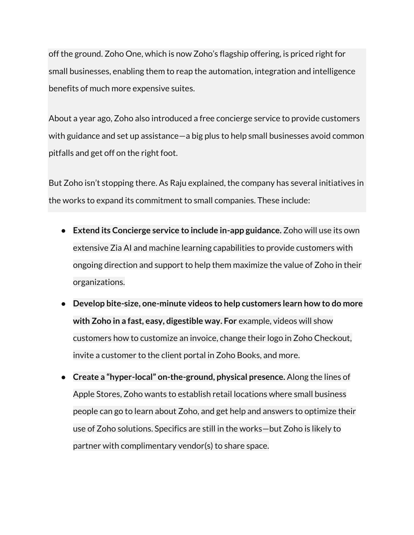off the ground. Zoho One, which is now Zoho's flagship offering, is priced right for small businesses, enabling them to reap the automation, integration and intelligence benefits of much more expensive suites.

About a year ago, Zoho also introduced a free concierge service to provide customers with guidance and set up assistance—a big plus to help small businesses avoid common pitfalls and get off on the right foot.

But Zoho isn't stopping there. As Raju explained, the company has several initiatives in the works to expand its commitment to small companies. These include:

- **Extend its Concierge service to include in-app guidance.** Zoho will use its own extensive Zia AI and machine learning capabilities to provide customers with ongoing direction and support to help them maximize the value of Zoho in their organizations.
- **Develop bite-size, one-minute videos to help customers learn how to do more with Zoho in a fast, easy, digestible way. For** example, videos will show customers how to customize an invoice, change their logo in Zoho Checkout, invite a customer to the client portal in Zoho Books, and more.
- **Create a "hyper-local" on-the-ground, physical presence.** Along the lines of Apple Stores, Zoho wants to establish retail locations where small business people can go to learn about Zoho, and get help and answers to optimize their use of Zoho solutions. Specifics are still in the works—but Zoho is likely to partner with complimentary vendor(s) to share space.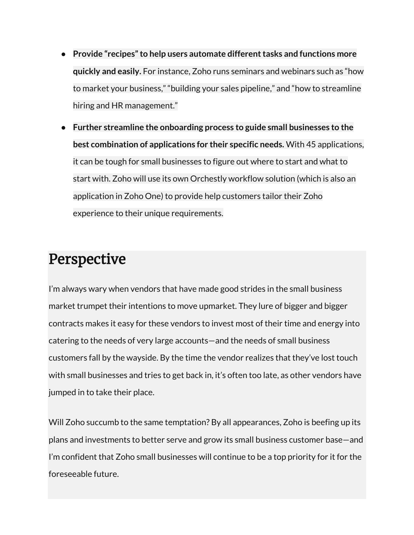- **Provide "recipes" to help users automate different tasks and functions more quickly and easily.** For instance, Zoho runs seminars and webinars such as "how to market your business," "building your sales pipeline," and "how to streamline hiring and HR management."
- **Further streamline the onboarding process to guide small businesses to the best combination of applications for their specific needs.** With 45 applications, it can be tough for small businesses to figure out where to start and what to start with. Zoho will use its own Orchestly workflow solution (which is also an application in Zoho One) to provide help customers tailor their Zoho experience to their unique requirements.

## Perspective

I'm always wary when vendors that have made good strides in the small business market trumpet their intentions to move upmarket. They lure of bigger and bigger contracts makes it easy for these vendors to invest most of their time and energy into catering to the needs of very large accounts—and the needs of small business customers fall by the wayside. By the time the vendor realizes that they've lost touch with small businesses and tries to get back in, it's often too late, as other vendors have jumped in to take their place.

Will Zoho succumb to the same temptation? By all appearances, Zoho is beefing up its plans and investments to better serve and grow its small business customer base—and I'm confident that Zoho small businesses will continue to be a top priority for it for the foreseeable future.